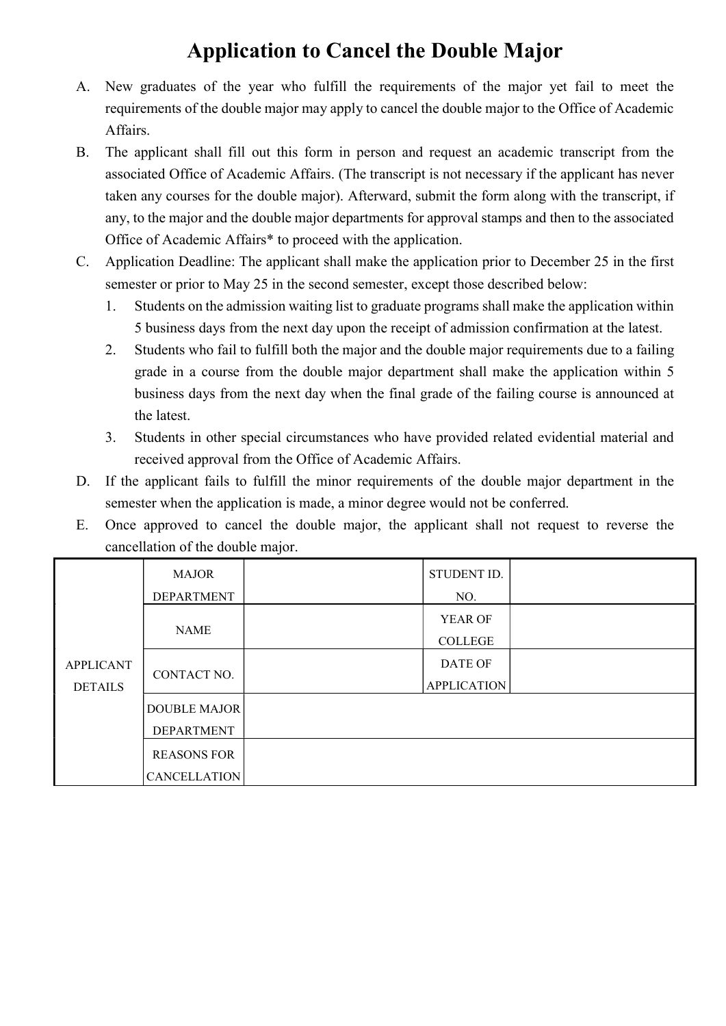## Application to Cancel the Double Major

- A. New graduates of the year who fulfill the requirements of the major yet fail to meet the requirements of the double major may apply to cancel the double major to the Office of Academic Affairs.
- B. The applicant shall fill out this form in person and request an academic transcript from the associated Office of Academic Affairs. (The transcript is not necessary if the applicant has never taken any courses for the double major). Afterward, submit the form along with the transcript, if any, to the major and the double major departments for approval stamps and then to the associated Office of Academic Affairs\* to proceed with the application.
- C. Application Deadline: The applicant shall make the application prior to December 25 in the first semester or prior to May 25 in the second semester, except those described below:
	- 1. Students on the admission waiting list to graduate programs shall make the application within 5 business days from the next day upon the receipt of admission confirmation at the latest.
	- 2. Students who fail to fulfill both the major and the double major requirements due to a failing grade in a course from the double major department shall make the application within 5 business days from the next day when the final grade of the failing course is announced at the latest.
	- 3. Students in other special circumstances who have provided related evidential material and received approval from the Office of Academic Affairs.
- D. If the applicant fails to fulfill the minor requirements of the double major department in the semester when the application is made, a minor degree would not be conferred.
- E. Once approved to cancel the double major, the applicant shall not request to reverse the cancellation of the double major.

| <b>APPLICANT</b><br><b>DETAILS</b> | <b>MAJOR</b><br><b>DEPARTMENT</b>         | STUDENT ID.<br>NO.            |  |
|------------------------------------|-------------------------------------------|-------------------------------|--|
|                                    | <b>NAME</b>                               | YEAR OF<br><b>COLLEGE</b>     |  |
|                                    | CONTACT NO.                               | DATE OF<br><b>APPLICATION</b> |  |
|                                    | <b>DOUBLE MAJOR</b><br><b>DEPARTMENT</b>  |                               |  |
|                                    | <b>REASONS FOR</b><br><b>CANCELLATION</b> |                               |  |